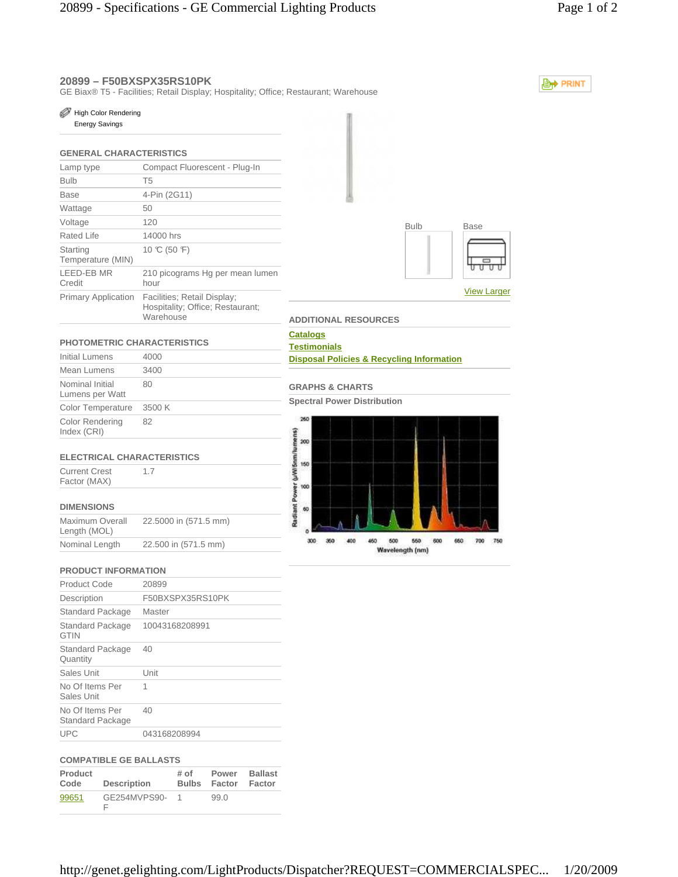# **20899 – F50BXSPX35RS10PK**

GE Biax® T5 - Facilities; Retail Display; Hospitality; Office; Restaurant; Warehouse

**A** PRINT

#### High Color Rendering

Energy Savings

## **GENERAL CHARACTERISTICS**

| Lamp type                     | Compact Fluorescent - Plug-In                                                |  |  |
|-------------------------------|------------------------------------------------------------------------------|--|--|
| <b>Bulb</b>                   | T <sub>5</sub>                                                               |  |  |
| Base                          | 4-Pin (2G11)                                                                 |  |  |
| Wattage                       | 50                                                                           |  |  |
| Voltage                       | 120                                                                          |  |  |
| Rated Life                    | 14000 hrs                                                                    |  |  |
| Starting<br>Temperature (MIN) | 10 °C (50 °F)                                                                |  |  |
| LEED-EB MR<br>Credit          | 210 picograms Hg per mean lumen<br>hour                                      |  |  |
| <b>Primary Application</b>    | Facilities; Retail Display;<br>Hospitality; Office; Restaurant;<br>Warehouse |  |  |



# **PHOTOMETRIC CHARACTERISTICS**

| Initial Lumens                        | 4000   |
|---------------------------------------|--------|
| Mean Lumens                           | 3400   |
| Nominal Initial<br>Lumens per Watt    | 80     |
| <b>Color Temperature</b>              | 3500 K |
| <b>Color Rendering</b><br>Index (CRI) | 82     |
|                                       |        |

### **ELECTRICAL CHARACTERISTICS**

1.7

Current Crest Factor (MAX)

## **DIMENSIONS**

| Maximum Overall<br>Length (MOL) | 22.5000 in (571.5 mm) |
|---------------------------------|-----------------------|
| Nominal Length                  | 22.500 in (571.5 mm)  |

### **PRODUCT INFORMATION**

| 20899            |
|------------------|
| F50BXSPX35RS10PK |
| Master           |
| 10043168208991   |
| 40               |
| Unit             |
| 1                |
| 40               |
| 043168208994     |
|                  |

### **COMPATIBLE GE BALLASTS**

| Product | <b>Description</b> | $#$ of       | Power  | <b>Ballast</b> |
|---------|--------------------|--------------|--------|----------------|
| Code    |                    | <b>Bulbs</b> | Factor | Factor         |
| 99651   | GE254MVPS90-       |              | 99.0   |                |

## **ADDITIONAL RESOURCES Catalogs Testimonials**

### **Disposal Policies & Recycling Information**

## **GRAPHS & CHARTS**

**Spectral Power Distribution**